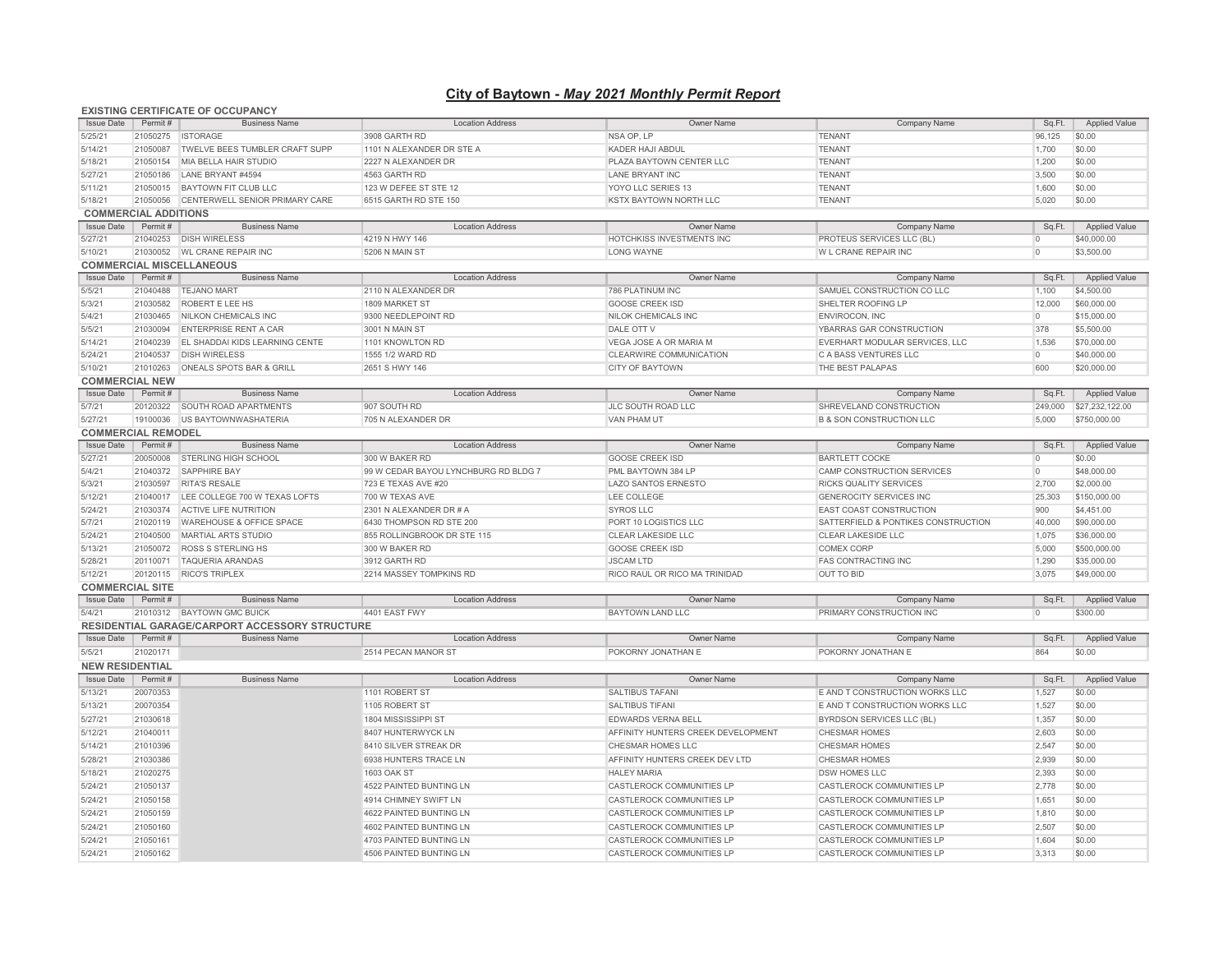## **City of Baytown -** *May 2021 Monthly Permit Report*

## Issue Date Permit # Business Name | Cocation Address Cocation Address Company Name Company Name Sq.Ft. Applied Value 5/25/21 21050275 ISTORAGE 3908 GARTH RD NSA OP, LP TENANT 96,125 \$0.00 5/14/21 21050087 TWELVE BEES TUMBLER CRAFT SUPP 1101 N ALEXANDER DR STE A KADER HAJI ABDUL KADER HAJI ABDUL TENANT TENANT 1,700 1,700 1,700 1,700 1,700 1,200 1,200 1,200 1,200 1,200 1,200 1,200 1,200 1,200 1,200 1,200 1,20 21050154 MIA BELLA HAIR STUDIO 5/27/21 21050186 LANE BRYANT#4594 4563 GARTH RD LANE BRYANT INC LANE BRYANT INC TENANT TENANT 3,500 \$0.00 \$0.00 5/11/21 21050015 BAYTOWN FIT CLUB LLC 123 W DEFEE ST STE 12 YOYO LLC SERIES 13 TENANT 1,600 \$0.00 5/18/21 21050056 CENTERWELL SENIOR PRIMARY CARE 6515 GARTH RD STE 150 KSTX BAYTOWN NORTH LLC TENANT 5,020 \$0.00 Issue Date Permit # Business Name | Location Address Company Name Company Name Sq.Ft. Applied Value 5/27/21 21040253 DISH WIRELESS 4219 N HWY 146 HOTCHKISS INVESTMENTS INC PROTEUS SERVICES LLC (BL) \$40,000.00 5/10/21 21030052 WL CRANE REPAIR INC 5206 N MAIN ST LONG WAYNE W L CRANE REPAIR INC 0 \$3,500.00 Issue Date Permit # Business Name Location Address Location Address Company Name Company Name Company Name Sq.Ft. Applied Value 5/5/21 21040488 TEJANO MART 2110 N ALEXANDER DR 786 PLATINUM INC SAMUEL CONSTRUCTION CO LLC 1,100 \$4,500.00 5/3/21 21030582 ROBERT E LEE HS 1809 MARKET ST GOOSE CREEK ISD SHELTER ROOFING LP 12,000 \$60,000.00 5/4/21 21030465 NILKON CHEMICALS INC 9300 NEEDLEPOINT RD NILOK CHEMICALS INC ENVIROCON, INC 0 \$15,000.00 5/5/21 21030094 ENTERPRISE RENT A CAR 3001 N MAIN ST DALE OTT V YBARRAS GAR CONSTRUCTION 378 \$5,500.00 5/14/21 21040239 EL SHADDAI KIDS LEARNING CENTE 1101 KNOWLTON RD VEGA JOSE A OR MARIA M EVERHART MODULAR SERVICES, LLC 1,536 \$70,000.00 5/24/21 21040537 DISH WIRELESS 1555 1/2 WARD RD CLEARWIRE COMMUNICATION \$40,000.00  $CITY OF BANTOWN 21010263 \n\n OR EALS SPOTS BAR & GRILL 2651 S HWY 146 \n OR EATS \n OR EALS \n OR EALS \n OR EALS \n OR EALS \n OR EALS \n OR EALS \n OR EALS \n OR EALS \n OR EALS \n OR EALS \n OR EALS \n OR EALS \n OR EALS \n OR EALS \n OR EALS \n OR EALS \n OR EALS \n OR EALS \n OR EALS \n OR EALS \n OR EALS \n$ Issue Date Permit # Business Name | Location Address Company Name Company Name Sq.Ft. Applied Value 5/7/21 20120322 SOUTH ROAD APARTMENTS 907 SOUTH RD JLC SOUTH ROAD LLC SHREVELAND CONSTRUCTION 249,000 \$27,232,122.00 5/27/21 19100036 US BAYTOWNWASHATERIA 705 N ALEXANDER DR VAN PHAM UT VAN PHAM UT B & SON CONSTRUCTION LLC 5,000 \$750,000.00 Issue Date Permit # Business Name Location Address Owner Name Company Name Sq.Ft. Applied Value 5/27/21 20050008 STERLING HIGH SCHOOL 300 W BAKER RD GOOSE CREEK ISD BARTLETT COCKE 0 \$0.00 5/4/21 21040372 SAPPHIRE BAY 99 W CEDAR BAYOU LYNCHBURG RD BLDG 7 PML BAYTOWN 384 LP CAMP CONSTRUCTION SERVICES 0 \$48,000.00 5/3/21 21030597 RITA'S RESALE 723 E TEXAS AVE #20 LAZO SANTOS ERNESTO RICKS QUALITY SERVICES 2,700 \$2,000.00 5/12/21 21040017 LEE COLLEGE 700 W TEXAS LOFTS 700 W TEXAS AVE LEE COLLEGE GENEROCITY SERVICES INC 25,303 \$150,000.00 5/24/21 21030374 ACTIVE LIFE NUTRITION 2301 N ALEXANDER DR # A SYROS LLC STROS LLC LEAST COAST CONSTRUCTION 900 \$4,451.00 \$4,451.00 5/7/21 21020119 WAREHOUSE & OFFICE SPACE 6430 THOMPSON RD STE 200 PORT 10 LOGISTICS LLC SATTERFIELD & PONTIKES CONSTRUCTION 40,000 \$90,000.00 5/24/21 21040500 MARTIAL ARTS STUDIO 855 ROLLINGBROOK DR STE 115 CLEAR LAKESIDE LLC CLEAR LAKESIDE LLC 1,075 \$36,000.00 5/13/21 21050072 ROSS S STERLING HS 300 W BAKER RD GOOSE CREEK ISD COMEX CORP 5,000 \$500,000.00 5/28/21 20110071 TAQUERIA ARANDAS 3912 GARTH RD JSCAM LTD FAS CONTRACTING INC 1,290 \$35,000.00 5/12/21 20120115 RICO'S TRIPLEX 2214 MASSEY TOMPKINS RD RICO RAUL OR RICO MA TRINIDAD OUT TO BID 3,075 \$49,000.00 Issue Date Permit # Business Name Location Address Owner Name Company Name Sq.Ft. Applied Value 5/4/21 21010312 BAYTOWN GMC BUICK 4401 EAST FWY BAYTOWN LAND LLC PRIMARY CONSTRUCTION INC 0 \$300.00 Issue Date Permit # Business Name Location Address Owner Name Company Name Sq.Ft. Applied Value 5/5/21 21020171 251 2514 PECAN MANOR ST POKORNY JONATHAN E POKORNY JONATHAN E POKORNY JONATHAN E 864 \$0.00 Issue Date Permit # Business Name Location Address Owner Name Company Name Sq.Ft. Applied Value 5/13/21 20070353 1101 ROBERT ST SALTIBUS TAFANI E AND T CONSTRUCTION WORKS LLC 1,527 \$0.00 5/13/21 20070354 1105 ROBERT ST SALTIBUS TIFANI SALTIBUS TIFANI E AND T CONSTRUCTION WORKS LLC 1,527 \$0.00 5/27/21 21030618 1804 MISSISSIPPI ST BYRDSON SERVICES LLC (BL) 1,357 \$0.00  $\text{5/12/21} \qquad \qquad \text{21040011} \qquad \qquad \text{22,603} \qquad \text{30.003} \qquad \text{30.001} \qquad \qquad \text{3410 SILVER STREAK DR} \qquad \qquad \text{2541} \qquad \text{350.01} \qquad \text{351.02} \qquad \text{361.03} \qquad \text{371.04} \qquad \text{381.05} \qquad \text{39.06} \qquad \text{39.07} \qquad \text{30.08} \qquad \text{30.001} \$ 5/14/21 21010396 8410 SILVER STREAK DR CHESMAR HOMES LLC CHESMAR HOMES 2,547 \$0.00 5/28/21 21030386 6938 HUNTERS TRACE LN AFFINITY HUNTERS CREEK DEV LTD CHESMAR HOMES 2,939 \$0.00 5/18/21 21020275 1603 OAK ST HALEY MARIA DSW HOMES LLC 2,393 \$0.00 5/24/21 21050137 CASTLEROCK COMMUNITIES LP CASTLEROCK COMMUNITIES LP CASTLEROCK COMMUNITIES LP 2,778 \$0.00 5/24/21 21050158 4914 CHIMNEY SWIFT LN CASTLEROCK COMMUNITIES LP CASTLEROCK COMMUNITIES LP 1,651 \$0.00 5/24/21 21050159 4622 PAINTED BUNTING LN CASTLEROCK COMMUNITIES LP CASTLEROCK COMMUNITIES LP 1,810 \$0.00 5/24/21 21050160 COMMUNITIES LP 2,507 \$0.00 4602 PAINTED BUNTING LN CASTLEROCK COMMUNITIES LP CASTLEROCK COMMUNITIES LP 5/24/21 21050161 4703 PAINTED BUNTING LN CASTLEROCK COMMUNITIES LP CASTLEROCK COMMUNITIES LP 1,604 \$0.00 **COMMERCIAL REMODEL COMMERCIAL SITE RESIDENTIAL GARAGE/CARPORT ACCESSORY STRUCTURE NEW RESIDENTIAL**<br>**Issue Date** Permit # **EXISTING CERTIFICATE OF OCCUPANCY**<br> **ISSUE Date** Permit # **I**Business Name **COMMERCIAL ADDITIONS**<br>**Issue Date** Permit # **COMMERCIAL MISCELLANEOUS COMMERCIAL NEW**<br>**Issue Date** Permit #

5/24/21 21050162 4506 PAINTED BUNTING LN CASTLEROCK COMMUNITIES LP CASTLEROCK COMMUNITIES LP 3,313 \$0.00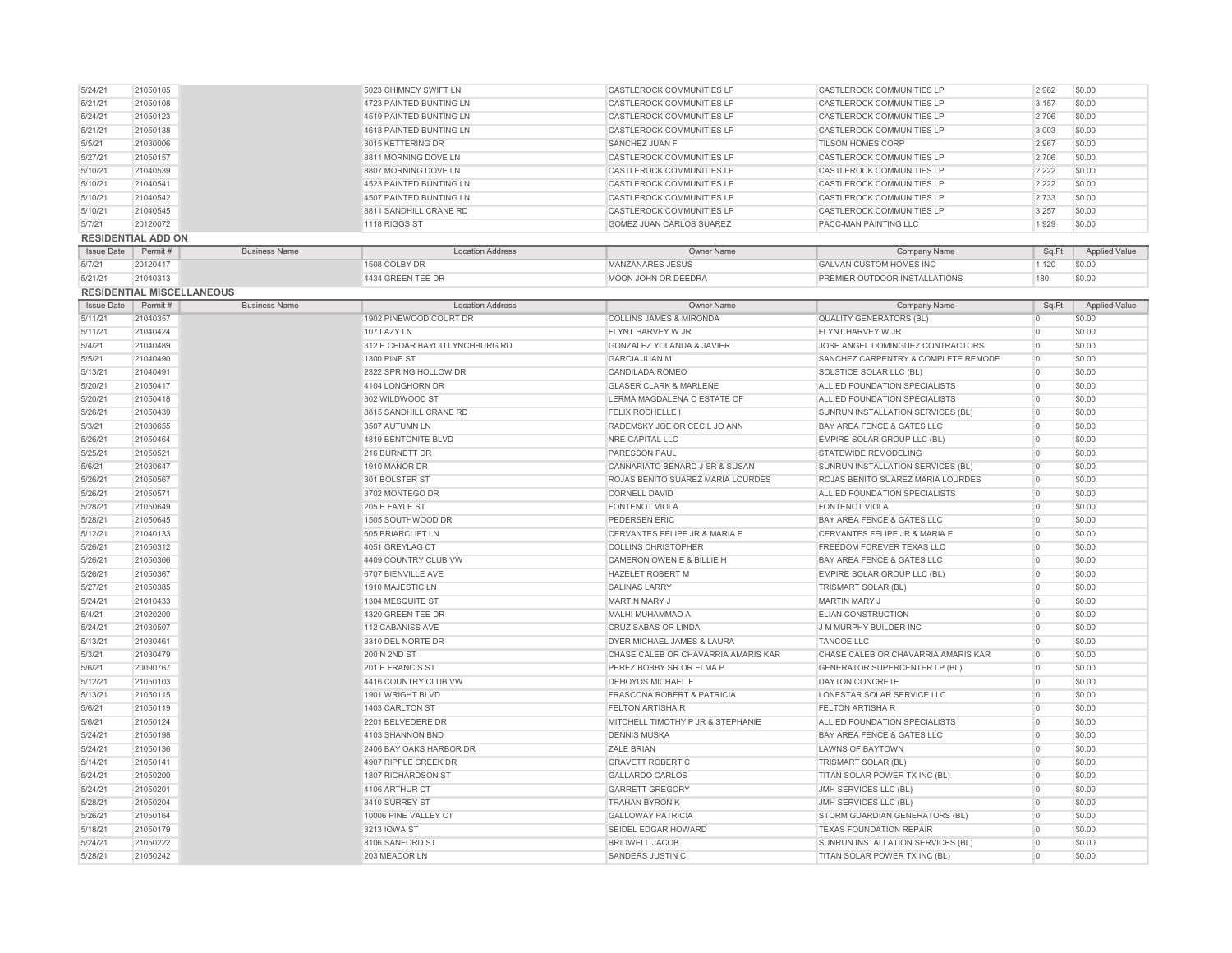| 5/21/21           | 21050108                  |                                  | 4723 PAINTED BUNTING LN                               | CASTLEROCK COMMUNITIES LP                         | CASTLEROCK COMMUNITIES LP                                               | 3,157          | \$0.00               |
|-------------------|---------------------------|----------------------------------|-------------------------------------------------------|---------------------------------------------------|-------------------------------------------------------------------------|----------------|----------------------|
| 5/24/21           | 21050123                  |                                  | 4519 PAINTED BUNTING LN                               | CASTLEROCK COMMUNITIES LP                         | CASTLEROCK COMMUNITIES LP                                               | 2,706          | \$0.00               |
| 5/21/21           | 21050138                  |                                  | 4618 PAINTED BUNTING LN                               | CASTLEROCK COMMUNITIES LP                         | CASTLEROCK COMMUNITIES LP                                               | 3,003          | \$0.00               |
| 5/5/21            | 21030006                  |                                  | 3015 KETTERING DR                                     | SANCHEZ JUAN F                                    | TILSON HOMES CORP                                                       | 2,967          | \$0.00               |
| 5/27/21           | 21050157                  |                                  | 8811 MORNING DOVE LN                                  | CASTLEROCK COMMUNITIES LP                         | CASTLEROCK COMMUNITIES LP                                               | 2,706          | \$0.00               |
| 5/10/21           | 21040539                  |                                  | 8807 MORNING DOVE LN                                  | CASTLEROCK COMMUNITIES LP                         | CASTLEROCK COMMUNITIES LP                                               | 2.222          | \$0.00               |
| 5/10/21           | 21040541                  |                                  | 4523 PAINTED BUNTING LN                               | CASTLEROCK COMMUNITIES LP                         | CASTLEROCK COMMUNITIES LP                                               | 2,222          | \$0.00               |
| 5/10/21           | 21040542                  |                                  | 4507 PAINTED BUNTING LN                               | CASTLEROCK COMMUNITIES LP                         | CASTLEROCK COMMUNITIES LP                                               | 2,733          | \$0.00               |
| 5/10/21           | 21040545                  |                                  | 8811 SANDHILL CRANE RD                                | CASTLEROCK COMMUNITIES LP                         | CASTLEROCK COMMUNITIES LP                                               | 3,257          | \$0.00               |
| 5/7/21            | 20120072                  |                                  | 1118 RIGGS ST                                         | GOMEZ JUAN CARLOS SUAREZ                          | PACC-MAN PAINTING LLC                                                   | 1,929          | \$0.00               |
|                   | <b>RESIDENTIAL ADD ON</b> |                                  |                                                       |                                                   |                                                                         |                |                      |
| <b>Issue Date</b> | Permit#                   | <b>Business Name</b>             | <b>Location Address</b>                               | Owner Name                                        | Company Name                                                            | Sq.Ft.         | <b>Applied Value</b> |
| 5/7/21            | 20120417                  |                                  | 1508 COLBY DR                                         | <b>MANZANARES JESUS</b>                           | <b>GALVAN CUSTOM HOMES INC</b>                                          | 1,120          | \$0.00               |
| 5/21/21           | 21040313                  |                                  | 4434 GREEN TEE DR                                     | MOON JOHN OR DEEDRA                               | PREMIER OUTDOOR INSTALLATIONS                                           | 180            | \$0.00               |
|                   |                           | <b>RESIDENTIAL MISCELLANEOUS</b> |                                                       |                                                   |                                                                         |                |                      |
| <b>Issue Date</b> | Permit#                   | <b>Business Name</b>             | <b>Location Address</b>                               | Owner Name                                        | Company Name                                                            | Sq.Ft.         | <b>Applied Value</b> |
| 5/11/21           | 21040357                  |                                  | 1902 PINEWOOD COURT DR                                | <b>COLLINS JAMES &amp; MIRONDA</b>                | <b>QUALITY GENERATORS (BL)</b>                                          | $\overline{0}$ | \$0.00               |
| 5/11/21           | 21040424                  |                                  | 107 LAZY LN                                           | FLYNT HARVEY W JR                                 | FLYNT HARVEY W JR                                                       | $\overline{0}$ | \$0.00               |
|                   |                           |                                  |                                                       |                                                   |                                                                         | $\overline{0}$ |                      |
| 5/4/21            | 21040489                  |                                  | 312 E CEDAR BAYOU LYNCHBURG RD<br><b>1300 PINE ST</b> | GONZALEZ YOLANDA & JAVIER<br><b>GARCIA JUAN M</b> | JOSE ANGEL DOMINGUEZ CONTRACTORS<br>SANCHEZ CARPENTRY & COMPLETE REMODE | $\circ$        | \$0.00               |
| 5/5/21            | 21040490                  |                                  |                                                       |                                                   |                                                                         |                | \$0.00               |
| 5/13/21           | 21040491                  |                                  | 2322 SPRING HOLLOW DR                                 | CANDILADA ROMEO                                   | SOLSTICE SOLAR LLC (BL)                                                 | $\overline{0}$ | \$0.00               |
| 5/20/21           | 21050417                  |                                  | 4104 LONGHORN DR                                      | <b>GLASER CLARK &amp; MARLENE</b>                 | ALLIED FOUNDATION SPECIALISTS                                           | $\circ$        | \$0.00               |
| 5/20/21           | 21050418                  |                                  | 302 WILDWOOD ST                                       | LERMA MAGDALENA C ESTATE OF                       | ALLIED FOUNDATION SPECIALISTS                                           | $\overline{0}$ | \$0.00               |
| 5/26/21           | 21050439                  |                                  | 8815 SANDHILL CRANE RD                                | FELIX ROCHELLE I                                  | SUNRUN INSTALLATION SERVICES (BL)                                       | $\overline{0}$ | \$0.00               |
| 5/3/21            | 21030655                  |                                  | 3507 AUTUMN LN                                        | RADEMSKY JOE OR CECIL JO ANN                      | BAY AREA FENCE & GATES LLC                                              | $\circ$        | \$0.00               |
| 5/26/21           | 21050464                  |                                  | 4819 BENTONITE BLVD                                   | NRE CAPITAL LLC                                   | EMPIRE SOLAR GROUP LLC (BL)                                             | $\circ$        | \$0.00               |
| 5/25/21           | 21050521                  |                                  | 216 BURNETT DR                                        | PARESSON PAUL                                     | STATEWIDE REMODELING                                                    | $\circ$        | \$0.00               |
| 5/6/21            | 21030647                  |                                  | 1910 MANOR DR                                         | CANNARIATO BENARD J SR & SUSAN                    | SUNRUN INSTALLATION SERVICES (BL)                                       | $\overline{0}$ | \$0.00               |
| 5/26/21           | 21050567                  |                                  | 301 BOLSTER ST                                        | ROJAS BENITO SUAREZ MARIA LOURDES                 | ROJAS BENITO SUAREZ MARIA LOURDES                                       | $\circ$        | \$0.00               |
| 5/26/21           | 21050571                  |                                  | 3702 MONTEGO DR                                       | <b>CORNELL DAVID</b>                              | ALLIED FOUNDATION SPECIALISTS                                           | $\circ$        | \$0.00               |
| 5/28/21           | 21050649                  |                                  | 205 E FAYLE ST                                        | <b>FONTENOT VIOLA</b>                             | <b>FONTENOT VIOLA</b>                                                   | $\overline{0}$ | \$0.00               |
| 5/28/21           | 21050645                  |                                  | 1505 SOUTHWOOD DR                                     | PEDERSEN ERIC                                     | BAY AREA FENCE & GATES LLC                                              | $\overline{0}$ | \$0.00               |
| 5/12/21           | 21040133                  |                                  | 605 BRIARCLIFT LN                                     | CERVANTES FELIPE JR & MARIA E                     | CERVANTES FELIPE JR & MARIA E                                           | $\overline{0}$ | \$0.00               |
| 5/26/21           | 21050312                  |                                  | 4051 GREYLAG CT                                       | <b>COLLINS CHRISTOPHER</b>                        | FREEDOM FOREVER TEXAS LLC                                               | $\circ$        | \$0.00               |
| 5/26/21           | 21050366                  |                                  | 4409 COUNTRY CLUB VW                                  | CAMERON OWEN E & BILLIE H                         | BAY AREA FENCE & GATES LLC                                              | $\overline{0}$ | \$0.00               |
| 5/26/21           | 21050367                  |                                  | 6707 BIENVILLE AVE                                    | HAZELET ROBERT M                                  | EMPIRE SOLAR GROUP LLC (BL)                                             | $\overline{0}$ | \$0.00               |
| 5/27/21           | 21050385                  |                                  | 1910 MAJESTIC LN                                      | <b>SALINAS LARRY</b>                              | TRISMART SOLAR (BL)                                                     | $\circ$        | \$0.00               |
| 5/24/21           | 21010433                  |                                  | 1304 MESQUITE ST                                      | <b>MARTIN MARY J</b>                              | MARTIN MARY J                                                           | $\circ$        | \$0.00               |
| 5/4/21            | 21020200                  |                                  | 4320 GREEN TEE DR                                     | MALHI MUHAMMAD A                                  | <b>ELIAN CONSTRUCTION</b>                                               | $\overline{0}$ | \$0.00               |
| 5/24/21           | 21030507                  |                                  | 112 CABANISS AVE                                      | CRUZ SABAS OR LINDA                               | J M MURPHY BUILDER INC                                                  | $\overline{0}$ | \$0.00               |
| 5/13/21           | 21030461                  |                                  | 3310 DEL NORTE DR                                     | DYER MICHAEL JAMES & LAURA                        | <b>TANCOE LLC</b>                                                       | $\overline{0}$ | \$0.00               |
| 5/3/21            | 21030479                  |                                  | 200 N 2ND ST                                          | CHASE CALEB OR CHAVARRIA AMARIS KAR               | CHASE CALEB OR CHAVARRIA AMARIS KAR                                     | $\overline{0}$ | \$0.00               |
| 5/6/21            | 20090767                  |                                  | 201 E FRANCIS ST                                      | PEREZ BOBBY SR OR ELMA P                          | <b>GENERATOR SUPERCENTER LP (BL)</b>                                    | $\overline{0}$ | \$0.00               |
| 5/12/21           | 21050103                  |                                  | 4416 COUNTRY CLUB VW                                  | DEHOYOS MICHAEL F                                 | DAYTON CONCRETE                                                         | $\circ$        | \$0.00               |
| 5/13/21           | 21050115                  |                                  | 1901 WRIGHT BLVD                                      | <b>FRASCONA ROBERT &amp; PATRICIA</b>             | LONESTAR SOLAR SERVICE LLC                                              | $\overline{0}$ | \$0.00               |
| 5/6/21            | 21050119                  |                                  | 1403 CARLTON ST                                       | FELTON ARTISHA R                                  | FELTON ARTISHA R                                                        | $\overline{0}$ | \$0.00               |
| 5/6/21            | 21050124                  |                                  | 2201 BELVEDERE DR                                     | MITCHELL TIMOTHY P JR & STEPHANIE                 | ALLIED FOUNDATION SPECIALISTS                                           | $\overline{0}$ | \$0.00               |
| 5/24/21           | 21050198                  |                                  | 4103 SHANNON BND                                      | <b>DENNIS MUSKA</b>                               | BAY AREA FENCE & GATES LLC                                              | $\circ$        | \$0.00               |
| 5/24/21           | 21050136                  |                                  | 2406 BAY OAKS HARBOR DR                               | ZALE BRIAN                                        | <b>LAWNS OF BAYTOWN</b>                                                 | $\overline{0}$ | \$0.00               |
| 5/14/21           | 21050141                  |                                  | 4907 RIPPLE CREEK DR                                  | <b>GRAVETT ROBERT C</b>                           | TRISMART SOLAR (BL)                                                     | $\overline{0}$ | \$0.00               |
| 5/24/21           | 21050200                  |                                  | 1807 RICHARDSON ST                                    | <b>GALLARDO CARLOS</b>                            | TITAN SOLAR POWER TX INC (BL)                                           | $\circ$        | \$0.00               |
| 5/24/21           | 21050201                  |                                  | 4106 ARTHUR CT                                        | <b>GARRETT GREGORY</b>                            | JMH SERVICES LLC (BL)                                                   | $\circ$        | \$0.00               |
| 5/28/21           | 21050204                  |                                  | 3410 SURREY ST                                        | <b>TRAHAN BYRON K</b>                             | JMH SERVICES LLC (BL)                                                   | $\overline{0}$ | \$0.00               |
| 5/26/21           | 21050164                  |                                  | 10006 PINE VALLEY CT                                  | <b>GALLOWAY PATRICIA</b>                          | STORM GUARDIAN GENERATORS (BL)                                          | $\overline{0}$ | \$0.00               |
|                   |                           |                                  |                                                       |                                                   |                                                                         |                |                      |
| 5/18/21           | 21050179                  |                                  | 3213 IOWA ST                                          | SEIDEL EDGAR HOWARD                               | <b>TEXAS FOUNDATION REPAIR</b>                                          | $\overline{0}$ | \$0.00               |
| 5/24/21           | 21050222                  |                                  | 8106 SANFORD ST                                       | <b>BRIDWELL JACOB</b>                             | SUNRUN INSTALLATION SERVICES (BL)                                       | $\Omega$       | \$0.00               |
| 5/28/21           | 21050242                  |                                  | 203 MEADOR LN                                         | SANDERS JUSTIN C                                  | TITAN SOLAR POWER TX INC (BL)                                           | $\overline{0}$ | \$0.00               |

5/24/21 21050105 5023 CHIMNEY SWIFT LN CASTLEROCK COMMUNITIES LP CASTLEROCK COMMUNITIES LP 2,982 \$0.00